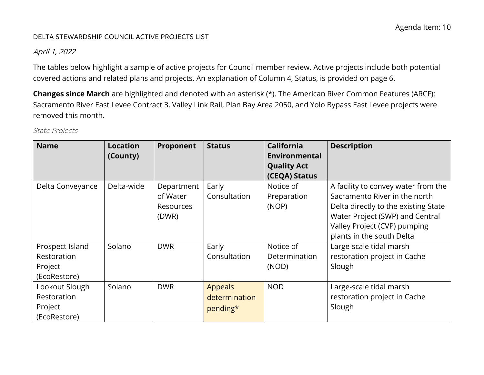#### DELTA STEWARDSHIP COUNCIL ACTIVE PROJECTS LIST

### April 1, 2022

 covered actions and related plans and projects. An explanation of Column 4, Status, is provided on page 6. The tables below highlight a sample of active projects for Council member review. Active projects include both potential

**Changes since March** are highlighted and denoted with an asterisk (\*). The American River Common Features (ARCF): Sacramento River East Levee Contract 3, Valley Link Rail, Plan Bay Area 2050, and Yolo Bypass East Levee projects were removed this month.

| <b>Name</b>                                               | <b>Location</b><br>(County) | Proponent                                    | <b>Status</b>                               | <b>California</b><br>Environmental<br><b>Quality Act</b><br>(CEQA) Status | <b>Description</b>                                                                                                                                                                                           |
|-----------------------------------------------------------|-----------------------------|----------------------------------------------|---------------------------------------------|---------------------------------------------------------------------------|--------------------------------------------------------------------------------------------------------------------------------------------------------------------------------------------------------------|
| Delta Conveyance                                          | Delta-wide                  | Department<br>of Water<br>Resources<br>(DWR) | Early<br>Consultation                       | Notice of<br>Preparation<br>(NOP)                                         | A facility to convey water from the<br>Sacramento River in the north<br>Delta directly to the existing State<br>Water Project (SWP) and Central<br>Valley Project (CVP) pumping<br>plants in the south Delta |
| Prospect Island<br>Restoration<br>Project<br>(EcoRestore) | Solano                      | <b>DWR</b>                                   | Early<br>Consultation                       | Notice of<br>Determination<br>(NOD)                                       | Large-scale tidal marsh<br>restoration project in Cache<br>Slough                                                                                                                                            |
| Lookout Slough<br>Restoration<br>Project<br>(EcoRestore)  | Solano                      | <b>DWR</b>                                   | <b>Appeals</b><br>determination<br>pending* | <b>NOD</b>                                                                | Large-scale tidal marsh<br>restoration project in Cache<br>Slough                                                                                                                                            |

State Projects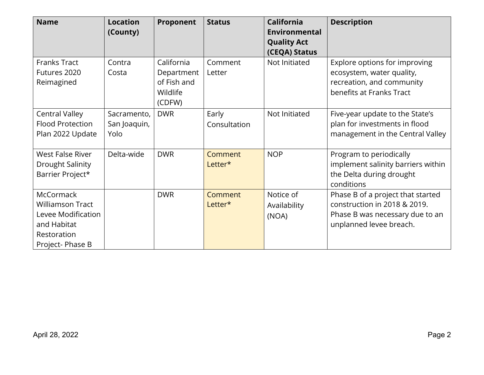| <b>Name</b>                                                                                                        | <b>Location</b><br>(County)         | <b>Proponent</b>                                              | <b>Status</b>         | <b>California</b><br>Environmental<br><b>Quality Act</b><br>(CEQA) Status | <b>Description</b>                                                                                                              |
|--------------------------------------------------------------------------------------------------------------------|-------------------------------------|---------------------------------------------------------------|-----------------------|---------------------------------------------------------------------------|---------------------------------------------------------------------------------------------------------------------------------|
| <b>Franks Tract</b><br>Futures 2020<br>Reimagined                                                                  | Contra<br>Costa                     | California<br>Department<br>of Fish and<br>Wildlife<br>(CDFW) | Comment<br>Letter     | Not Initiated                                                             | Explore options for improving<br>ecosystem, water quality,<br>recreation, and community<br>benefits at Franks Tract             |
| <b>Central Valley</b><br><b>Flood Protection</b><br>Plan 2022 Update                                               | Sacramento,<br>San Joaquin,<br>Yolo | <b>DWR</b>                                                    | Early<br>Consultation | Not Initiated                                                             | Five-year update to the State's<br>plan for investments in flood<br>management in the Central Valley                            |
| <b>West False River</b><br>Drought Salinity<br>Barrier Project*                                                    | Delta-wide                          | <b>DWR</b>                                                    | Comment<br>Letter*    | <b>NOP</b>                                                                | Program to periodically<br>implement salinity barriers within<br>the Delta during drought<br>conditions                         |
| <b>McCormack</b><br><b>Williamson Tract</b><br>Levee Modification<br>and Habitat<br>Restoration<br>Project-Phase B |                                     | <b>DWR</b>                                                    | Comment<br>Letter*    | Notice of<br>Availability<br>(NOA)                                        | Phase B of a project that started<br>construction in 2018 & 2019.<br>Phase B was necessary due to an<br>unplanned levee breach. |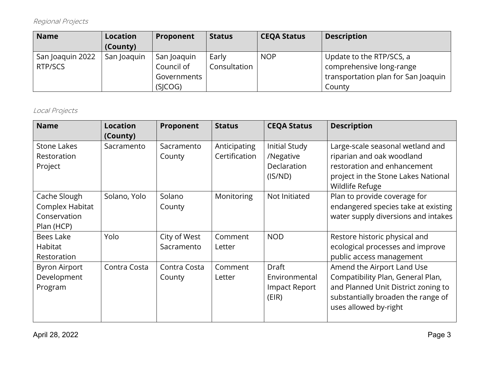# Regional Projects

| <b>Name</b>                 | Location<br>(County) | Proponent                                           | <b>Status</b>         | <b>CEQA Status</b> | <b>Description</b>                                                                                    |
|-----------------------------|----------------------|-----------------------------------------------------|-----------------------|--------------------|-------------------------------------------------------------------------------------------------------|
| San Joaquin 2022<br>RTP/SCS | San Joaquin          | San Joaquin<br>Council of<br>Governments<br>(SICOG) | Early<br>Consultation | <b>NOP</b>         | Update to the RTP/SCS, a<br>comprehensive long-range<br>transportation plan for San Joaquin<br>County |

### Local Projects

| <b>Name</b>                                    | <b>Location</b><br>(County) | Proponent                  | <b>Status</b>                 | <b>CEQA Status</b>                                          | <b>Description</b>                                                                                                                                                    |
|------------------------------------------------|-----------------------------|----------------------------|-------------------------------|-------------------------------------------------------------|-----------------------------------------------------------------------------------------------------------------------------------------------------------------------|
| <b>Stone Lakes</b><br>Restoration<br>Project   | Sacramento                  | Sacramento<br>County       | Anticipating<br>Certification | <b>Initial Study</b><br>/Negative<br>Declaration<br>(IS/ND) | Large-scale seasonal wetland and<br>riparian and oak woodland<br>restoration and enhancement<br>project in the Stone Lakes National                                   |
| Cache Slough                                   | Solano, Yolo                | Solano                     | Monitoring                    | Not Initiated                                               | Wildlife Refuge<br>Plan to provide coverage for                                                                                                                       |
| Complex Habitat<br>Conservation<br>Plan (HCP)  |                             | County                     |                               |                                                             | endangered species take at existing<br>water supply diversions and intakes                                                                                            |
| Bees Lake<br>Habitat<br>Restoration            | Yolo                        | City of West<br>Sacramento | Comment<br>Letter             | <b>NOD</b>                                                  | Restore historic physical and<br>ecological processes and improve<br>public access management                                                                         |
| <b>Byron Airport</b><br>Development<br>Program | Contra Costa                | Contra Costa<br>County     | Comment<br>Letter             | Draft<br>Environmental<br>Impact Report<br>(EIR)            | Amend the Airport Land Use<br>Compatibility Plan, General Plan,<br>and Planned Unit District zoning to<br>substantially broaden the range of<br>uses allowed by-right |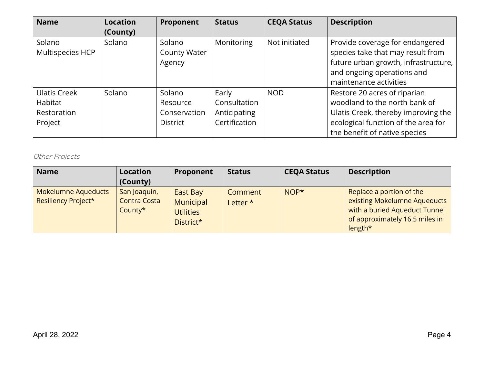| <b>Name</b>                                              | <b>Location</b><br>(County) | Proponent                                             | <b>Status</b>                                          | <b>CEQA Status</b> | <b>Description</b>                                                                                                                                                           |
|----------------------------------------------------------|-----------------------------|-------------------------------------------------------|--------------------------------------------------------|--------------------|------------------------------------------------------------------------------------------------------------------------------------------------------------------------------|
| Solano<br>Multispecies HCP                               | Solano                      | Solano<br><b>County Water</b><br>Agency               | Monitoring                                             | Not initiated      | Provide coverage for endangered<br>species take that may result from<br>future urban growth, infrastructure,<br>and ongoing operations and<br>maintenance activities         |
| <b>Ulatis Creek</b><br>Habitat<br>Restoration<br>Project | Solano                      | Solano<br>Resource<br>Conservation<br><b>District</b> | Early<br>Consultation<br>Anticipating<br>Certification | <b>NOD</b>         | Restore 20 acres of riparian<br>woodland to the north bank of<br>Ulatis Creek, thereby improving the<br>ecological function of the area for<br>the benefit of native species |

# Other Projects

| <b>Name</b>                                | Location<br>(County)                           | Proponent                                              | <b>Status</b>       | <b>CEQA Status</b> | <b>Description</b>                                                                                                                     |
|--------------------------------------------|------------------------------------------------|--------------------------------------------------------|---------------------|--------------------|----------------------------------------------------------------------------------------------------------------------------------------|
| Mokelumne Aqueducts<br>Resiliency Project* | San Joaquin,<br><b>Contra Costa</b><br>County* | East Bay<br>Municipal<br><b>Utilities</b><br>District* | Comment<br>Letter * | $NOP*$             | Replace a portion of the<br>existing Mokelumne Aqueducts<br>with a buried Aqueduct Tunnel<br>of approximately 16.5 miles in<br>length* |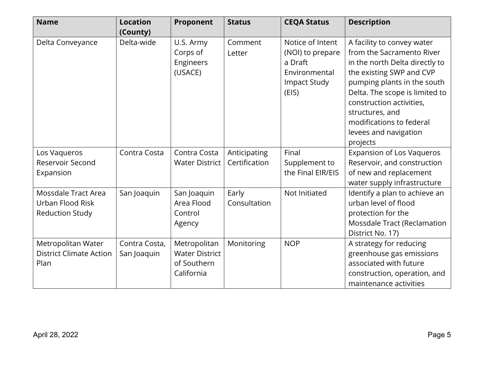| <b>Name</b>                                                       | <b>Location</b><br>(County)  | Proponent                                                          | <b>Status</b>                 | <b>CEQA Status</b>                                                                               | <b>Description</b>                                                                                                                                                                                                                                                                                     |
|-------------------------------------------------------------------|------------------------------|--------------------------------------------------------------------|-------------------------------|--------------------------------------------------------------------------------------------------|--------------------------------------------------------------------------------------------------------------------------------------------------------------------------------------------------------------------------------------------------------------------------------------------------------|
| Delta Conveyance                                                  | Delta-wide                   | U.S. Army<br>Corps of<br>Engineers<br>(USACE)                      | Comment<br>Letter             | Notice of Intent<br>(NOI) to prepare<br>a Draft<br>Environmental<br><b>Impact Study</b><br>(EIS) | A facility to convey water<br>from the Sacramento River<br>in the north Delta directly to<br>the existing SWP and CVP<br>pumping plants in the south<br>Delta. The scope is limited to<br>construction activities,<br>structures, and<br>modifications to federal<br>levees and navigation<br>projects |
| Los Vaqueros<br>Reservoir Second<br>Expansion                     | Contra Costa                 | Contra Costa<br><b>Water District</b>                              | Anticipating<br>Certification | Final<br>Supplement to<br>the Final EIR/EIS                                                      | <b>Expansion of Los Vaqueros</b><br>Reservoir, and construction<br>of new and replacement<br>water supply infrastructure                                                                                                                                                                               |
| Mossdale Tract Area<br>Urban Flood Risk<br><b>Reduction Study</b> | San Joaquin                  | San Joaquin<br>Area Flood<br>Control<br>Agency                     | Early<br>Consultation         | Not Initiated                                                                                    | Identify a plan to achieve an<br>urban level of flood<br>protection for the<br>Mossdale Tract (Reclamation<br>District No. 17)                                                                                                                                                                         |
| Metropolitan Water<br><b>District Climate Action</b><br>Plan      | Contra Costa,<br>San Joaquin | Metropolitan<br><b>Water District</b><br>of Southern<br>California | Monitoring                    | <b>NOP</b>                                                                                       | A strategy for reducing<br>greenhouse gas emissions<br>associated with future<br>construction, operation, and<br>maintenance activities                                                                                                                                                                |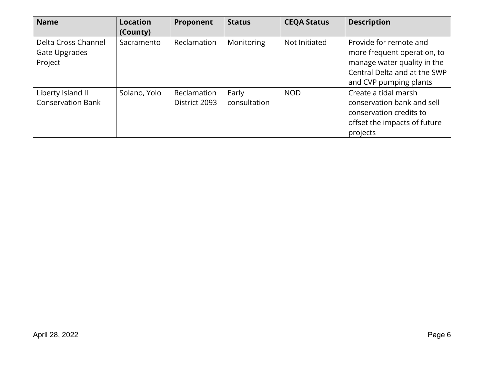| <b>Name</b>                                     | <b>Location</b><br>(County) | Proponent                    | <b>Status</b>         | <b>CEQA Status</b> | <b>Description</b>                                                                                                                             |
|-------------------------------------------------|-----------------------------|------------------------------|-----------------------|--------------------|------------------------------------------------------------------------------------------------------------------------------------------------|
| Delta Cross Channel<br>Gate Upgrades<br>Project | Sacramento                  | Reclamation                  | Monitoring            | Not Initiated      | Provide for remote and<br>more frequent operation, to<br>manage water quality in the<br>Central Delta and at the SWP<br>and CVP pumping plants |
| Liberty Island II<br><b>Conservation Bank</b>   | Solano, Yolo                | Reclamation<br>District 2093 | Early<br>consultation | <b>NOD</b>         | Create a tidal marsh<br>conservation bank and sell<br>conservation credits to<br>offset the impacts of future<br>projects                      |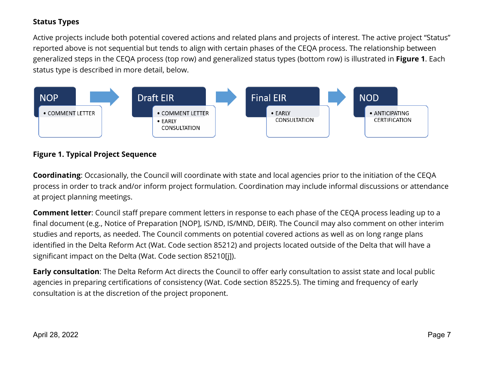# **Status Types**

 status type is described in more detail, below. Active projects include both potential covered actions and related plans and projects of interest. The active project "Status" reported above is not sequential but tends to align with certain phases of the CEQA process. The relationship between generalized steps in the CEQA process (top row) and generalized status types (bottom row) is illustrated in **Figure 1**. Each



# **Figure 1. Typical Project Sequence**

**Coordinating**: Occasionally, the Council will coordinate with state and local agencies prior to the initiation of the CEQA process in order to track and/or inform project formulation. Coordination may include informal discussions or attendance at project planning meetings.

 identified in the Delta Reform Act (Wat. Code section 85212) and projects located outside of the Delta that will have a **Comment letter**: Council staff prepare comment letters in response to each phase of the CEQA process leading up to a final document (e.g., Notice of Preparation [NOP], IS/ND, IS/MND, DEIR). The Council may also comment on other interim studies and reports, as needed. The Council comments on potential covered actions as well as on long range plans significant impact on the Delta (Wat. Code section 85210[j]).

 agencies in preparing certifications of consistency (Wat. Code section 85225.5). The timing and frequency of early consultation is at the discretion of the project proponent. **Early consultation**: The Delta Reform Act directs the Council to offer early consultation to assist state and local public